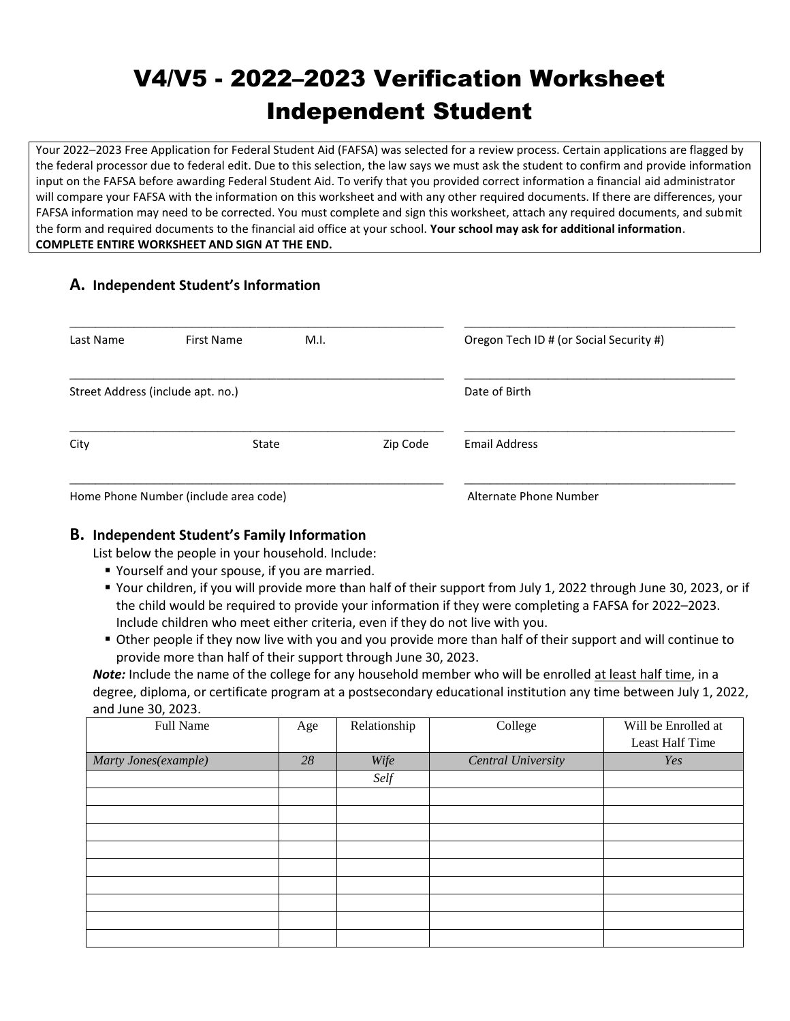# V4/V5 - 2022–2023 Verification Worksheet Independent Student

Your 2022–2023 Free Application for Federal Student Aid (FAFSA) was selected for a review process. Certain applications are flagged by the federal processor due to federal edit. Due to this selection, the law says we must ask the student to confirm and provide information input on the FAFSA before awarding Federal Student Aid. To verify that you provided correct information a financial aid administrator will compare your FAFSA with the information on this worksheet and with any other required documents. If there are differences, your FAFSA information may need to be corrected. You must complete and sign this worksheet, attach any required documents, and submit the form and required documents to the financial aid office at your school. **Your school may ask for additional information**. **COMPLETE ENTIRE WORKSHEET AND SIGN AT THE END.**

### **A. Independent Student's Information**

| Last Name                             | First Name                        | M.I. |          | Oregon Tech ID # (or Social Security #) |
|---------------------------------------|-----------------------------------|------|----------|-----------------------------------------|
|                                       | Street Address (include apt. no.) |      |          | Date of Birth                           |
| City                                  | State                             |      | Zip Code | <b>Email Address</b>                    |
| Home Phone Number (include area code) |                                   |      |          | Alternate Phone Number                  |

#### **B. Independent Student's Family Information**

List below the people in your household. Include:

- Yourself and your spouse, if you are married.
- Your children, if you will provide more than half of their support from July 1, 2022 through June 30, 2023, or if the child would be required to provide your information if they were completing a FAFSA for 2022–2023. Include children who meet either criteria, even if they do not live with you.
- Other people if they now live with you and you provide more than half of their support and will continue to provide more than half of their support through June 30, 2023.

*Note:* Include the name of the college for any household member who will be enrolled at least half time, in a degree, diploma, or certificate program at a postsecondary educational institution any time between July 1, 2022, and June 30, 2023.

| Full Name            | Age | Relationship | College                   | Will be Enrolled at |
|----------------------|-----|--------------|---------------------------|---------------------|
|                      |     |              |                           | Least Half Time     |
| Marty Jones(example) | 28  | Wife         | <b>Central University</b> | Yes                 |
|                      |     | Self         |                           |                     |
|                      |     |              |                           |                     |
|                      |     |              |                           |                     |
|                      |     |              |                           |                     |
|                      |     |              |                           |                     |
|                      |     |              |                           |                     |
|                      |     |              |                           |                     |
|                      |     |              |                           |                     |
|                      |     |              |                           |                     |
|                      |     |              |                           |                     |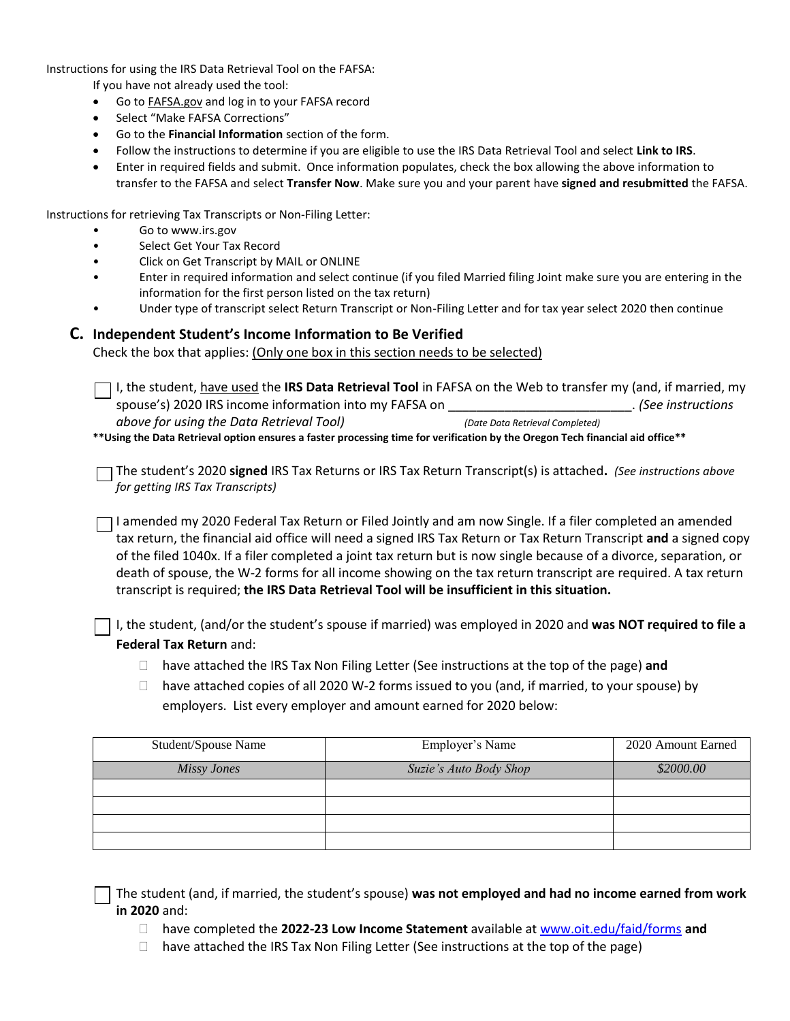Instructions for using the IRS Data Retrieval Tool on the FAFSA:

If you have not already used the tool:

- Go to FAFSA.gov and log in to your FAFSA record
- Select "Make FAFSA Corrections"
- Go to the **Financial Information** section of the form.
- Follow the instructions to determine if you are eligible to use the IRS Data Retrieval Tool and select **Link to IRS**.
- Enter in required fields and submit. Once information populates, check the box allowing the above information to transfer to the FAFSA and select **Transfer Now**. Make sure you and your parent have **signed and resubmitted** the FAFSA.

Instructions for retrieving Tax Transcripts or Non-Filing Letter:

- Go to www.irs.gov
- Select Get Your Tax Record
- Click on Get Transcript by MAIL or ONLINE
- Enter in required information and select continue (if you filed Married filing Joint make sure you are entering in the information for the first person listed on the tax return)
- Under type of transcript select Return Transcript or Non-Filing Letter and for tax year select 2020 then continue

#### **C. Independent Student's Income Information to Be Verified**

Check the box that applies: (Only one box in this section needs to be selected)

I, the student, have used the **IRS Data Retrieval Tool** in FAFSA on the Web to transfer my (and, if married, my spouse's) 2020 IRS income information into my FAFSA on \_\_\_\_\_\_\_\_\_\_\_\_\_\_\_\_\_\_\_\_\_\_\_\_\_\_. *(See instructions above for using the Data Retrieval Tool) (Date Data Retrieval Completed)* **\*\*Using the Data Retrieval option ensures a faster processing time for verification by the Oregon Tech financial aid office\*\***

The student's 2020 **signed** IRS Tax Returns or IRS Tax Return Transcript(s) is attached**.** *(See instructions above for getting IRS Tax Transcripts)*

I amended my 2020 Federal Tax Return or Filed Jointly and am now Single. If a filer completed an amended tax return, the financial aid office will need a signed IRS Tax Return or Tax Return Transcript and a signed copy of the filed 1040x. If a filer completed a joint tax return but is now single because of a divorce, separation, or death of spouse, the W-2 forms for all income showing on the tax return transcript are required. A tax return transcript is required; **the IRS Data Retrieval Tool will be insufficient in this situation.**

I, the student, (and/or the student's spouse if married) was employed in 2020 and **was NOT required to file a Federal Tax Return** and:

- □ have attached the IRS Tax Non Filing Letter (See instructions at the top of the page) and
- $\Box$  have attached copies of all 2020 W-2 forms issued to you (and, if married, to your spouse) by employers. List every employer and amount earned for 2020 below:

| Student/Spouse Name | Employer's Name        | 2020 Amount Earned |
|---------------------|------------------------|--------------------|
| Missy Jones         | Suzie's Auto Body Shop | \$2000.00          |
|                     |                        |                    |
|                     |                        |                    |
|                     |                        |                    |
|                     |                        |                    |

The student (and, if married, the student's spouse) **was not employed and had no income earned from work in 2020** and:

- have completed the **2022-23 Low Income Statement** available a[t www.oit.edu/faid/forms](http://www.oit.edu/faid/forms) **and**
- $\Box$  have attached the IRS Tax Non Filing Letter (See instructions at the top of the page)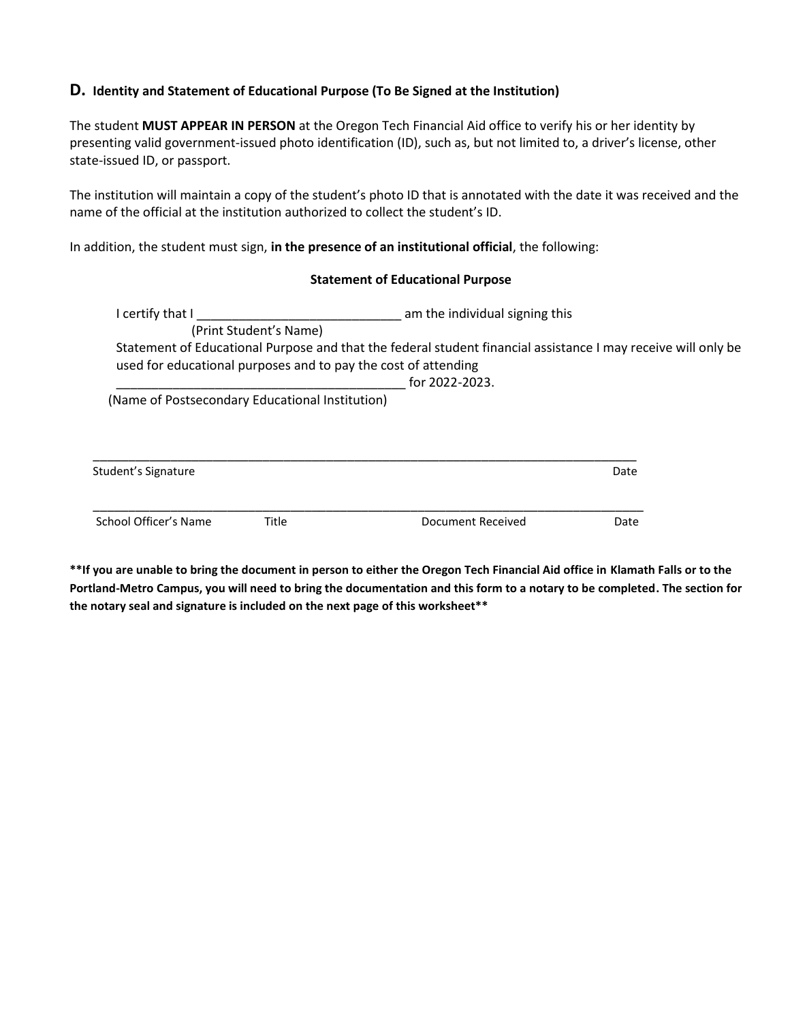#### **D. Identity and Statement of Educational Purpose (To Be Signed at the Institution)**

The student **MUST APPEAR IN PERSON** at the Oregon Tech Financial Aid office to verify his or her identity by presenting valid government-issued photo identification (ID), such as, but not limited to, a driver's license, other state-issued ID, or passport.

The institution will maintain a copy of the student's photo ID that is annotated with the date it was received and the name of the official at the institution authorized to collect the student's ID.

In addition, the student must sign, **in the presence of an institutional official**, the following:

#### **Statement of Educational Purpose**

| I certify that I                                |                        | am the individual signing this                                                                                                                                                  |      |
|-------------------------------------------------|------------------------|---------------------------------------------------------------------------------------------------------------------------------------------------------------------------------|------|
|                                                 | (Print Student's Name) |                                                                                                                                                                                 |      |
|                                                 |                        | Statement of Educational Purpose and that the federal student financial assistance I may receive will only be<br>used for educational purposes and to pay the cost of attending |      |
|                                                 |                        | for 2022-2023.                                                                                                                                                                  |      |
| (Name of Postsecondary Educational Institution) |                        |                                                                                                                                                                                 |      |
|                                                 |                        |                                                                                                                                                                                 |      |
| Student's Signature                             |                        |                                                                                                                                                                                 | Date |

**\*\*If you are unable to bring the document in person to either the Oregon Tech Financial Aid office in Klamath Falls or to the Portland-Metro Campus, you will need to bring the documentation and this form to a notary to be completed. The section for the notary seal and signature is included on the next page of this worksheet\*\***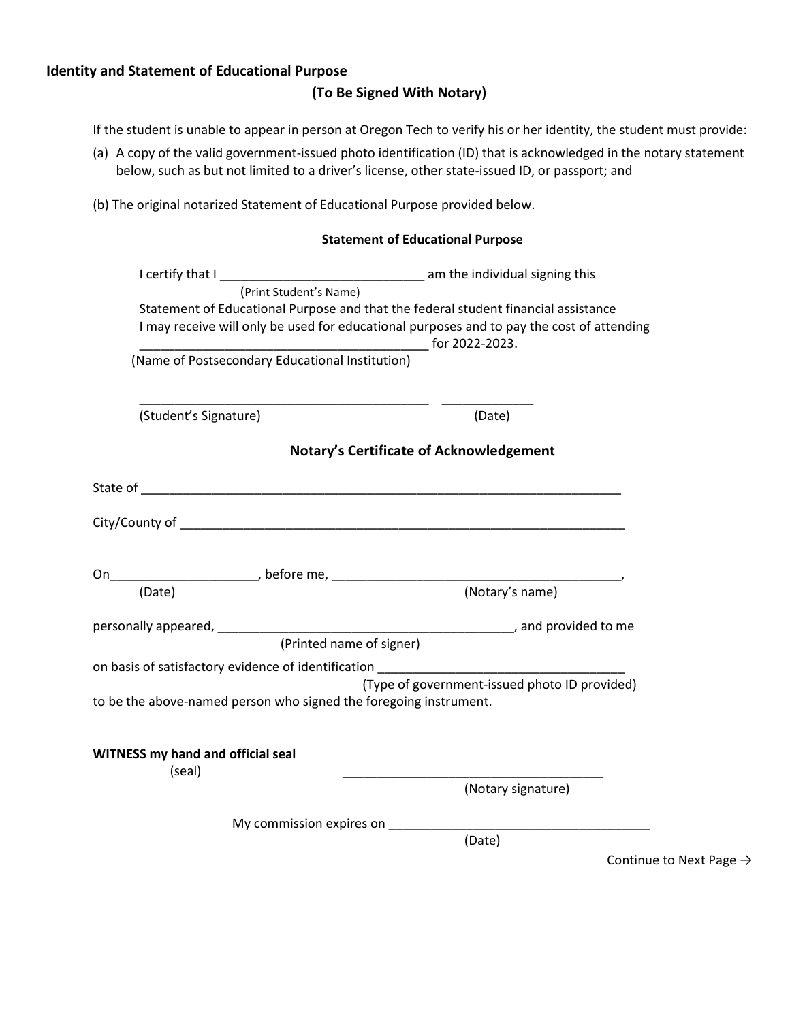#### **Identity and Statement of Educational Purpose**

#### **(To Be Signed With Notary)**

If the student is unable to appear in person at Oregon Tech to verify his or her identity, the student must provide:

- (a) A copy of the valid government-issued photo identification (ID) that is acknowledged in the notary statement below, such as but not limited to a driver's license, other state-issued ID, or passport; and
- (b) The original notarized Statement of Educational Purpose provided below.

|                                                                                           | <b>Statement of Educational Purpose</b>       |
|-------------------------------------------------------------------------------------------|-----------------------------------------------|
|                                                                                           |                                               |
| (Print Student's Name)                                                                    |                                               |
| Statement of Educational Purpose and that the federal student financial assistance        |                                               |
| I may receive will only be used for educational purposes and to pay the cost of attending |                                               |
|                                                                                           | $\frac{1}{2}$ for 2022-2023.                  |
| (Name of Postsecondary Educational Institution)                                           |                                               |
|                                                                                           |                                               |
| (Student's Signature)                                                                     | (Date)                                        |
|                                                                                           |                                               |
|                                                                                           | Notary's Certificate of Acknowledgement       |
|                                                                                           |                                               |
|                                                                                           |                                               |
|                                                                                           |                                               |
|                                                                                           |                                               |
|                                                                                           |                                               |
|                                                                                           |                                               |
|                                                                                           |                                               |
|                                                                                           |                                               |
| (Printed name of signer)                                                                  |                                               |
| on basis of satisfactory evidence of identification                                       |                                               |
|                                                                                           | (Type of government-issued photo ID provided) |
| to be the above-named person who signed the foregoing instrument.                         |                                               |
|                                                                                           |                                               |
|                                                                                           |                                               |
| <b>WITNESS my hand and official seal</b><br>(seal)                                        |                                               |
|                                                                                           | (Notary signature)                            |
| My commission expires on                                                                  |                                               |
|                                                                                           | (Date)                                        |

Continue to Next Page  $\rightarrow$